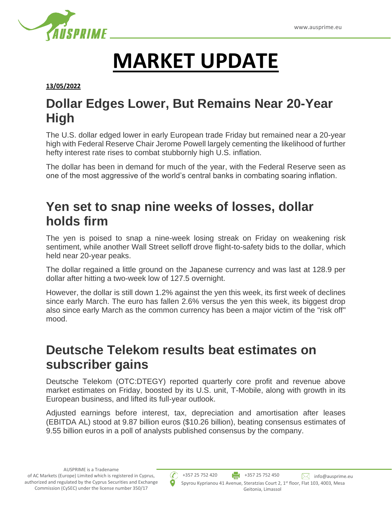

# **MARKET UPDATE**

**13/05/2022**

## **Dollar Edges Lower, But Remains Near 20-Year High**

The U.S. dollar edged lower in early European trade Friday but remained near a 20-year high with Federal Reserve Chair Jerome Powell largely cementing the likelihood of further hefty interest rate rises to combat stubbornly high U.S. inflation.

The dollar has been in demand for much of the year, with the Federal Reserve seen as one of the most aggressive of the world's central banks in combating soaring inflation.

#### **Yen set to snap nine weeks of losses, dollar holds firm**

The yen is poised to snap a nine-week losing streak on Friday on weakening risk sentiment, while another Wall Street selloff drove flight-to-safety bids to the dollar, which held near 20-year peaks.

The dollar regained a little ground on the Japanese currency and was last at 128.9 per dollar after hitting a two-week low of 127.5 overnight.

However, the dollar is still down 1.2% against the yen this week, its first week of declines since early March. The euro has fallen 2.6% versus the yen this week, its biggest drop also since early March as the common currency has been a major victim of the "risk off" mood.

#### **Deutsche Telekom results beat estimates on subscriber gains**

Deutsche Telekom (OTC:DTEGY) reported quarterly core profit and revenue above market estimates on Friday, boosted by its U.S. unit, T-Mobile, along with growth in its European business, and lifted its full-year outlook.

Adjusted earnings before interest, tax, depreciation and amortisation after leases (EBITDA AL) stood at 9.87 billion euros (\$10.26 billion), beating consensus estimates of 9.55 billion euros in a poll of analysts published consensus by the company.